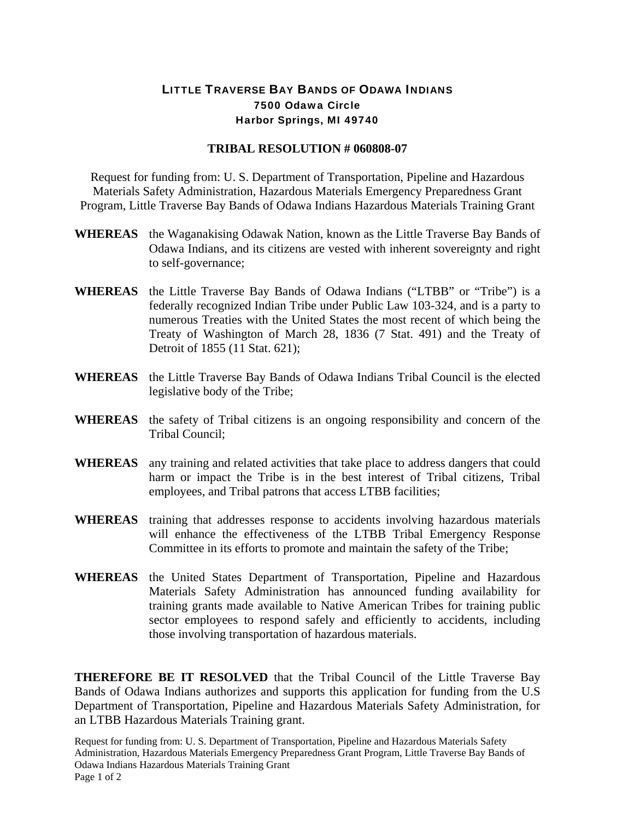## LITTLE TRAVERSE BAY BANDS OF ODAWA INDIANS 7500 Odawa Circle Harbor Springs, MI 49740

## **TRIBAL RESOLUTION # 060808-07**

Request for funding from: U. S. Department of Transportation, Pipeline and Hazardous Materials Safety Administration, Hazardous Materials Emergency Preparedness Grant Program, Little Traverse Bay Bands of Odawa Indians Hazardous Materials Training Grant

- **WHEREAS** the Waganakising Odawak Nation, known as the Little Traverse Bay Bands of Odawa Indians, and its citizens are vested with inherent sovereignty and right to self-governance;
- **WHEREAS** the Little Traverse Bay Bands of Odawa Indians ("LTBB" or "Tribe") is a federally recognized Indian Tribe under Public Law 103-324, and is a party to numerous Treaties with the United States the most recent of which being the Treaty of Washington of March 28, 1836 (7 Stat. 491) and the Treaty of Detroit of 1855 (11 Stat. 621);
- **WHEREAS** the Little Traverse Bay Bands of Odawa Indians Tribal Council is the elected legislative body of the Tribe;
- **WHEREAS** the safety of Tribal citizens is an ongoing responsibility and concern of the Tribal Council;
- **WHEREAS** any training and related activities that take place to address dangers that could harm or impact the Tribe is in the best interest of Tribal citizens, Tribal employees, and Tribal patrons that access LTBB facilities;
- **WHEREAS** training that addresses response to accidents involving hazardous materials will enhance the effectiveness of the LTBB Tribal Emergency Response Committee in its efforts to promote and maintain the safety of the Tribe;
- **WHEREAS** the United States Department of Transportation, Pipeline and Hazardous Materials Safety Administration has announced funding availability for training grants made available to Native American Tribes for training public sector employees to respond safely and efficiently to accidents, including those involving transportation of hazardous materials.

**THEREFORE BE IT RESOLVED** that the Tribal Council of the Little Traverse Bay Bands of Odawa Indians authorizes and supports this application for funding from the U.S Department of Transportation, Pipeline and Hazardous Materials Safety Administration, for an LTBB Hazardous Materials Training grant.

Request for funding from: U. S. Department of Transportation, Pipeline and Hazardous Materials Safety Administration, Hazardous Materials Emergency Preparedness Grant Program, Little Traverse Bay Bands of Odawa Indians Hazardous Materials Training Grant Page 1 of 2